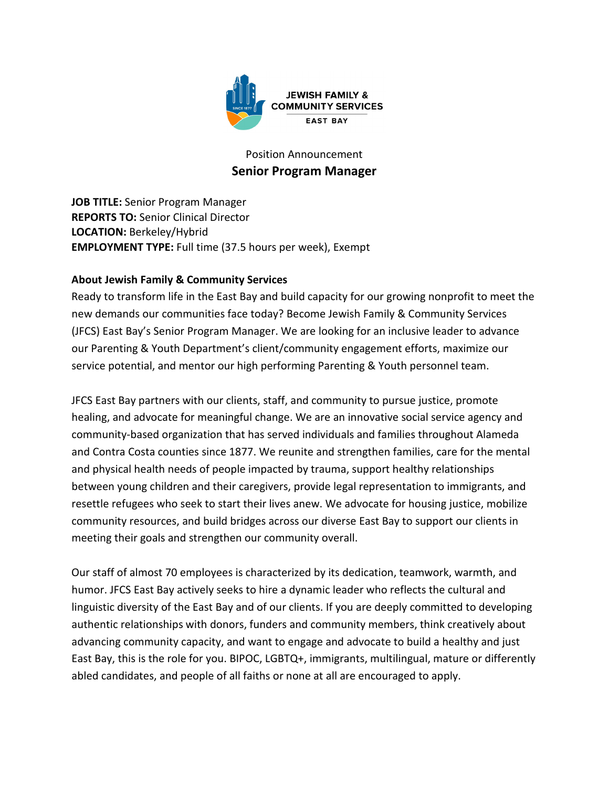

# Position Announcement **Senior Program Manager**

**JOB TITLE:** Senior Program Manager **REPORTS TO:** Senior Clinical Director **LOCATION:** Berkeley/Hybrid **EMPLOYMENT TYPE:** Full time (37.5 hours per week), Exempt

## **About Jewish Family & Community Services**

Ready to transform life in the East Bay and build capacity for our growing nonprofit to meet the new demands our communities face today? Become Jewish Family & Community Services (JFCS) East Bay's Senior Program Manager. We are looking for an inclusive leader to advance our Parenting & Youth Department's client/community engagement efforts, maximize our service potential, and mentor our high performing Parenting & Youth personnel team.

JFCS East Bay partners with our clients, staff, and community to pursue justice, promote healing, and advocate for meaningful change. We are an innovative social service agency and community-based organization that has served individuals and families throughout Alameda and Contra Costa counties since 1877. We reunite and strengthen families, care for the mental and physical health needs of people impacted by trauma, support healthy relationships between young children and their caregivers, provide legal representation to immigrants, and resettle refugees who seek to start their lives anew. We advocate for housing justice, mobilize community resources, and build bridges across our diverse East Bay to support our clients in meeting their goals and strengthen our community overall.

Our staff of almost 70 employees is characterized by its dedication, teamwork, warmth, and humor. JFCS East Bay actively seeks to hire a dynamic leader who reflects the cultural and linguistic diversity of the East Bay and of our clients. If you are deeply committed to developing authentic relationships with donors, funders and community members, think creatively about advancing community capacity, and want to engage and advocate to build a healthy and just East Bay, this is the role for you. BIPOC, LGBTQ+, immigrants, multilingual, mature or differently abled candidates, and people of all faiths or none at all are encouraged to apply.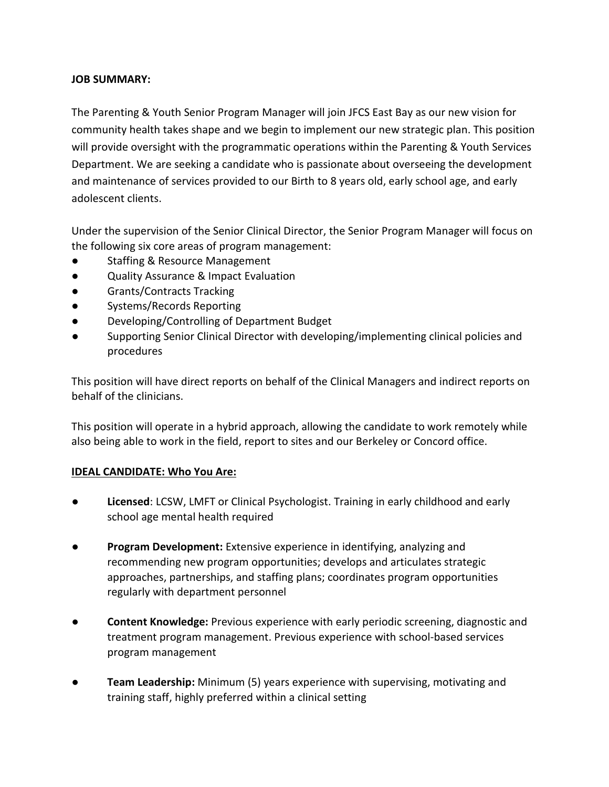#### **JOB SUMMARY:**

The Parenting & Youth Senior Program Manager will join JFCS East Bay as our new vision for community health takes shape and we begin to implement our new strategic plan. This position will provide oversight with the programmatic operations within the Parenting & Youth Services Department. We are seeking a candidate who is passionate about overseeing the development and maintenance of services provided to our Birth to 8 years old, early school age, and early adolescent clients.

Under the supervision of the Senior Clinical Director, the Senior Program Manager will focus on the following six core areas of program management:

- **Staffing & Resource Management**
- Quality Assurance & Impact Evaluation
- Grants/Contracts Tracking
- Systems/Records Reporting
- Developing/Controlling of Department Budget
- Supporting Senior Clinical Director with developing/implementing clinical policies and procedures

This position will have direct reports on behalf of the Clinical Managers and indirect reports on behalf of the clinicians.

This position will operate in a hybrid approach, allowing the candidate to work remotely while also being able to work in the field, report to sites and our Berkeley or Concord office.

#### **IDEAL CANDIDATE: Who You Are:**

- **Licensed**: LCSW, LMFT or Clinical Psychologist. Training in early childhood and early school age mental health required
- **Program Development:** Extensive experience in identifying, analyzing and recommending new program opportunities; develops and articulates strategic approaches, partnerships, and staffing plans; coordinates program opportunities regularly with department personnel
- **Content Knowledge:** Previous experience with early periodic screening, diagnostic and treatment program management. Previous experience with school-based services program management
- **Team Leadership:** Minimum (5) years experience with supervising, motivating and training staff, highly preferred within a clinical setting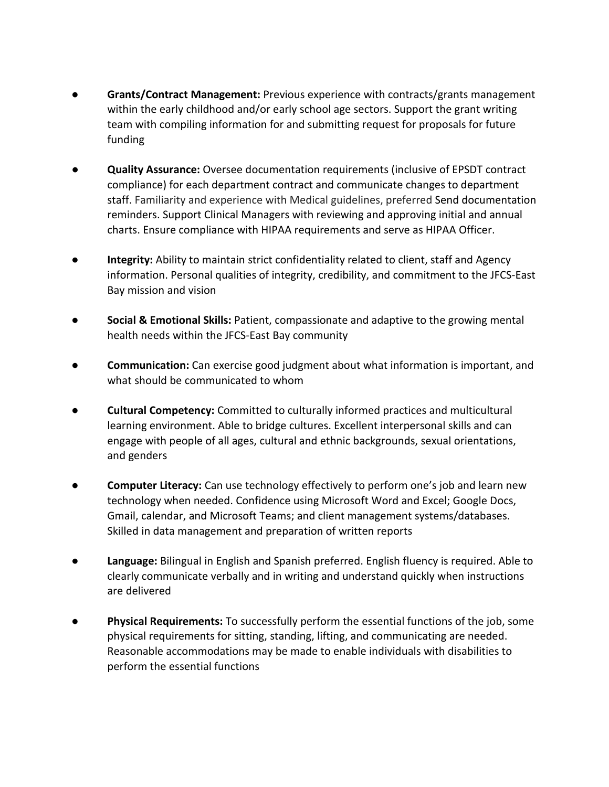- **Grants/Contract Management:** Previous experience with contracts/grants management within the early childhood and/or early school age sectors. Support the grant writing team with compiling information for and submitting request for proposals for future funding
- **Quality Assurance:** Oversee documentation requirements (inclusive of EPSDT contract compliance) for each department contract and communicate changes to department staff. Familiarity and experience with Medical guidelines, preferred Send documentation reminders. Support Clinical Managers with reviewing and approving initial and annual charts. Ensure compliance with HIPAA requirements and serve as HIPAA Officer.
- **Integrity:** Ability to maintain strict confidentiality related to client, staff and Agency information. Personal qualities of integrity, credibility, and commitment to the JFCS-East Bay mission and vision
- **Social & Emotional Skills:** Patient, compassionate and adaptive to the growing mental health needs within the JFCS-East Bay community
- **Communication:** Can exercise good judgment about what information is important, and what should be communicated to whom
- **Cultural Competency:** Committed to culturally informed practices and multicultural learning environment. Able to bridge cultures. Excellent interpersonal skills and can engage with people of all ages, cultural and ethnic backgrounds, sexual orientations, and genders
- **Computer Literacy:** Can use technology effectively to perform one's job and learn new technology when needed. Confidence using Microsoft Word and Excel; Google Docs, Gmail, calendar, and Microsoft Teams; and client management systems/databases. Skilled in data management and preparation of written reports
- **Language:** Bilingual in English and Spanish preferred. English fluency is required. Able to clearly communicate verbally and in writing and understand quickly when instructions are delivered
- **Physical Requirements:** To successfully perform the essential functions of the job, some physical requirements for sitting, standing, lifting, and communicating are needed. Reasonable accommodations may be made to enable individuals with disabilities to perform the essential functions